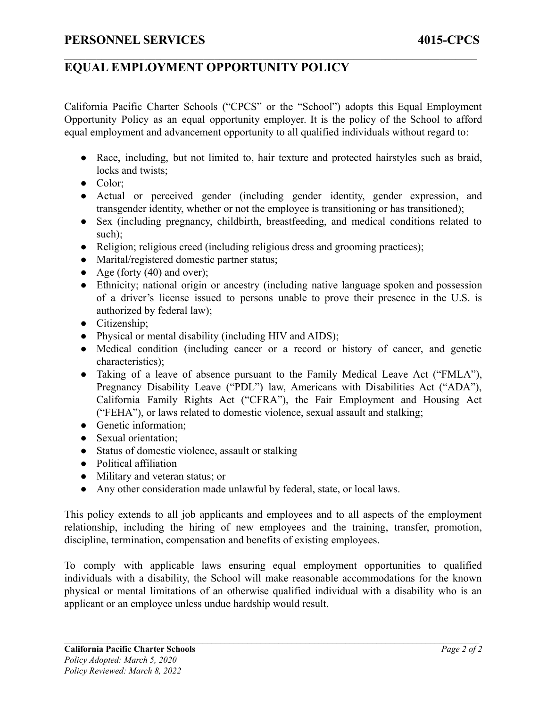## **EQUAL EMPLOYMENT OPPORTUNITY POLICY**

California Pacific Charter Schools ("CPCS" or the "School") adopts this Equal Employment Opportunity Policy as an equal opportunity employer. It is the policy of the School to afford equal employment and advancement opportunity to all qualified individuals without regard to:

 $\mathcal{L}_\mathcal{L} = \{ \mathcal{L}_\mathcal{L} = \{ \mathcal{L}_\mathcal{L} = \{ \mathcal{L}_\mathcal{L} = \{ \mathcal{L}_\mathcal{L} = \{ \mathcal{L}_\mathcal{L} = \{ \mathcal{L}_\mathcal{L} = \{ \mathcal{L}_\mathcal{L} = \{ \mathcal{L}_\mathcal{L} = \{ \mathcal{L}_\mathcal{L} = \{ \mathcal{L}_\mathcal{L} = \{ \mathcal{L}_\mathcal{L} = \{ \mathcal{L}_\mathcal{L} = \{ \mathcal{L}_\mathcal{L} = \{ \mathcal{L}_\mathcal{$ 

- Race, including, but not limited to, hair texture and protected hairstyles such as braid, locks and twists:
- Color:
- Actual or perceived gender (including gender identity, gender expression, and transgender identity, whether or not the employee is transitioning or has transitioned);
- Sex (including pregnancy, childbirth, breastfeeding, and medical conditions related to such):
- Religion; religious creed (including religious dress and grooming practices);
- Marital/registered domestic partner status;
- Age (forty  $(40)$  and over);
- Ethnicity; national origin or ancestry (including native language spoken and possession of a driver's license issued to persons unable to prove their presence in the U.S. is authorized by federal law);
- Citizenship;
- Physical or mental disability (including HIV and AIDS);
- Medical condition (including cancer or a record or history of cancer, and genetic characteristics);
- Taking of a leave of absence pursuant to the Family Medical Leave Act ("FMLA"), Pregnancy Disability Leave ("PDL") law, Americans with Disabilities Act ("ADA"), California Family Rights Act ("CFRA"), the Fair Employment and Housing Act ("FEHA"), or laws related to domestic violence, sexual assault and stalking;
- Genetic information;
- Sexual orientation;
- Status of domestic violence, assault or stalking
- Political affiliation
- Military and veteran status; or
- Any other consideration made unlawful by federal, state, or local laws.

This policy extends to all job applicants and employees and to all aspects of the employment relationship, including the hiring of new employees and the training, transfer, promotion, discipline, termination, compensation and benefits of existing employees.

To comply with applicable laws ensuring equal employment opportunities to qualified individuals with a disability, the School will make reasonable accommodations for the known physical or mental limitations of an otherwise qualified individual with a disability who is an applicant or an employee unless undue hardship would result.